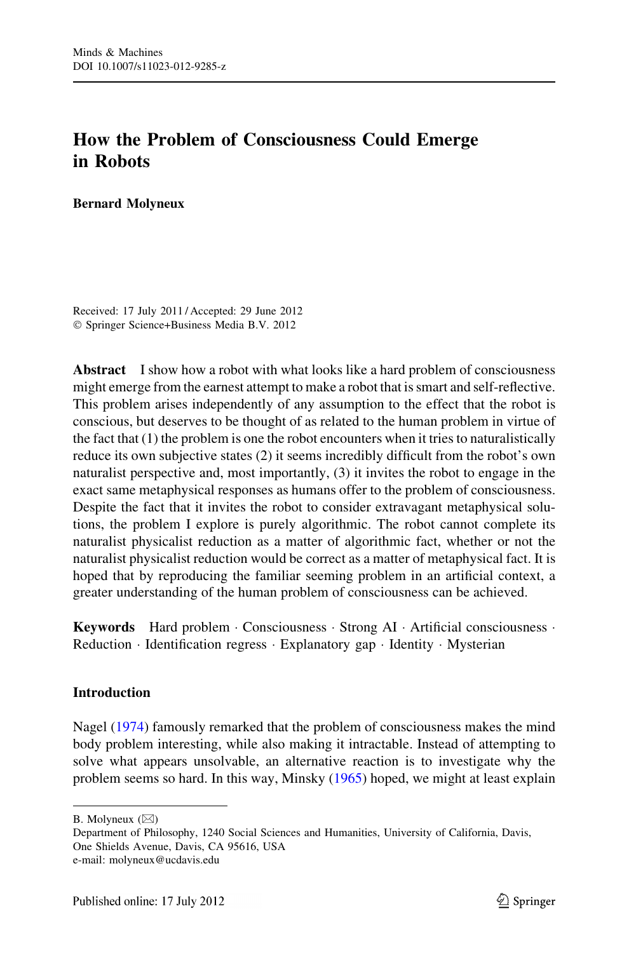# How the Problem of Consciousness Could Emerge in Robots

Bernard Molyneux

Received: 17 July 2011 / Accepted: 29 June 2012 - Springer Science+Business Media B.V. 2012

Abstract I show how a robot with what looks like a hard problem of consciousness might emerge from the earnest attempt to make a robot that is smart and self-reflective. This problem arises independently of any assumption to the effect that the robot is conscious, but deserves to be thought of as related to the human problem in virtue of the fact that (1) the problem is one the robot encounters when it tries to naturalistically reduce its own subjective states (2) it seems incredibly difficult from the robot's own naturalist perspective and, most importantly, (3) it invites the robot to engage in the exact same metaphysical responses as humans offer to the problem of consciousness. Despite the fact that it invites the robot to consider extravagant metaphysical solutions, the problem I explore is purely algorithmic. The robot cannot complete its naturalist physicalist reduction as a matter of algorithmic fact, whether or not the naturalist physicalist reduction would be correct as a matter of metaphysical fact. It is hoped that by reproducing the familiar seeming problem in an artificial context, a greater understanding of the human problem of consciousness can be achieved.

Keywords Hard problem · Consciousness · Strong AI · Artificial consciousness · Reduction - Identification regress - Explanatory gap - Identity - Mysterian

## **Introduction**

Nagel ([1974\)](#page-20-0) famously remarked that the problem of consciousness makes the mind body problem interesting, while also making it intractable. Instead of attempting to solve what appears unsolvable, an alternative reaction is to investigate why the problem seems so hard. In this way, Minsky [\(1965](#page-20-0)) hoped, we might at least explain

B. Molyneux  $(\boxtimes)$ 

Department of Philosophy, 1240 Social Sciences and Humanities, University of California, Davis, One Shields Avenue, Davis, CA 95616, USA e-mail: molyneux@ucdavis.edu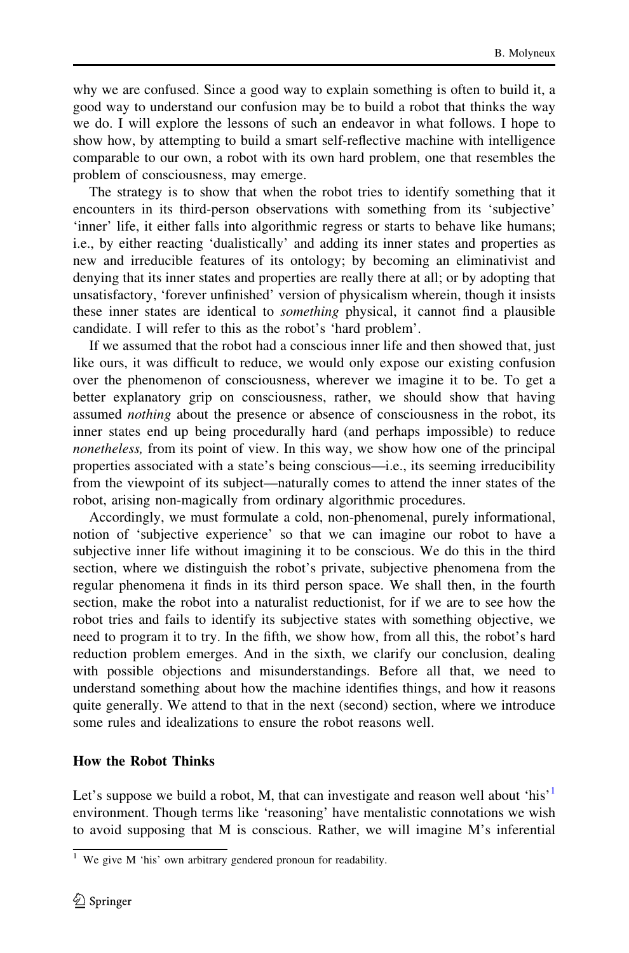why we are confused. Since a good way to explain something is often to build it, a good way to understand our confusion may be to build a robot that thinks the way we do. I will explore the lessons of such an endeavor in what follows. I hope to show how, by attempting to build a smart self-reflective machine with intelligence comparable to our own, a robot with its own hard problem, one that resembles the problem of consciousness, may emerge.

The strategy is to show that when the robot tries to identify something that it encounters in its third-person observations with something from its 'subjective' 'inner' life, it either falls into algorithmic regress or starts to behave like humans; i.e., by either reacting 'dualistically' and adding its inner states and properties as new and irreducible features of its ontology; by becoming an eliminativist and denying that its inner states and properties are really there at all; or by adopting that unsatisfactory, 'forever unfinished' version of physicalism wherein, though it insists these inner states are identical to something physical, it cannot find a plausible candidate. I will refer to this as the robot's 'hard problem'.

If we assumed that the robot had a conscious inner life and then showed that, just like ours, it was difficult to reduce, we would only expose our existing confusion over the phenomenon of consciousness, wherever we imagine it to be. To get a better explanatory grip on consciousness, rather, we should show that having assumed nothing about the presence or absence of consciousness in the robot, its inner states end up being procedurally hard (and perhaps impossible) to reduce nonetheless, from its point of view. In this way, we show how one of the principal properties associated with a state's being conscious—i.e., its seeming irreducibility from the viewpoint of its subject—naturally comes to attend the inner states of the robot, arising non-magically from ordinary algorithmic procedures.

Accordingly, we must formulate a cold, non-phenomenal, purely informational, notion of 'subjective experience' so that we can imagine our robot to have a subjective inner life without imagining it to be conscious. We do this in the third section, where we distinguish the robot's private, subjective phenomena from the regular phenomena it finds in its third person space. We shall then, in the fourth section, make the robot into a naturalist reductionist, for if we are to see how the robot tries and fails to identify its subjective states with something objective, we need to program it to try. In the fifth, we show how, from all this, the robot's hard reduction problem emerges. And in the sixth, we clarify our conclusion, dealing with possible objections and misunderstandings. Before all that, we need to understand something about how the machine identifies things, and how it reasons quite generally. We attend to that in the next (second) section, where we introduce some rules and idealizations to ensure the robot reasons well.

# How the Robot Thinks

Let's suppose we build a robot, M, that can investigate and reason well about 'his'<sup>1</sup> environment. Though terms like 'reasoning' have mentalistic connotations we wish to avoid supposing that M is conscious. Rather, we will imagine M's inferential

<sup>&</sup>lt;sup>1</sup> We give M 'his' own arbitrary gendered pronoun for readability.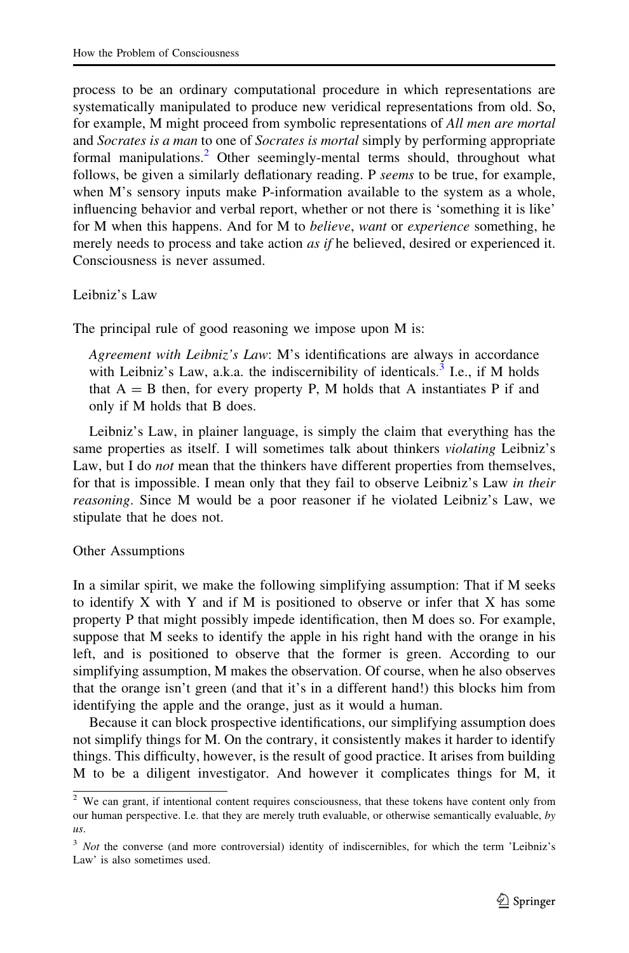process to be an ordinary computational procedure in which representations are systematically manipulated to produce new veridical representations from old. So, for example, M might proceed from symbolic representations of All men are mortal and Socrates is a man to one of Socrates is mortal simply by performing appropriate formal manipulations.<sup>2</sup> Other seemingly-mental terms should, throughout what follows, be given a similarly deflationary reading. P seems to be true, for example, when M's sensory inputs make P-information available to the system as a whole, influencing behavior and verbal report, whether or not there is 'something it is like' for M when this happens. And for M to believe, want or experience something, he merely needs to process and take action *as if* he believed, desired or experienced it. Consciousness is never assumed.

# Leibniz's Law

The principal rule of good reasoning we impose upon M is:

Agreement with Leibniz's Law: M's identifications are always in accordance with Leibniz's Law, a.k.a. the indiscernibility of identicals.<sup>3</sup> I.e., if M holds that  $A = B$  then, for every property P, M holds that A instantiates P if and only if M holds that B does.

Leibniz's Law, in plainer language, is simply the claim that everything has the same properties as itself. I will sometimes talk about thinkers violating Leibniz's Law, but I do *not* mean that the thinkers have different properties from themselves, for that is impossible. I mean only that they fail to observe Leibniz's Law in their reasoning. Since M would be a poor reasoner if he violated Leibniz's Law, we stipulate that he does not.

Other Assumptions

In a similar spirit, we make the following simplifying assumption: That if M seeks to identify X with Y and if M is positioned to observe or infer that X has some property P that might possibly impede identification, then M does so. For example, suppose that M seeks to identify the apple in his right hand with the orange in his left, and is positioned to observe that the former is green. According to our simplifying assumption, M makes the observation. Of course, when he also observes that the orange isn't green (and that it's in a different hand!) this blocks him from identifying the apple and the orange, just as it would a human.

Because it can block prospective identifications, our simplifying assumption does not simplify things for M. On the contrary, it consistently makes it harder to identify things. This difficulty, however, is the result of good practice. It arises from building M to be a diligent investigator. And however it complicates things for M, it

<sup>&</sup>lt;sup>2</sup> We can grant, if intentional content requires consciousness, that these tokens have content only from our human perspective. I.e. that they are merely truth evaluable, or otherwise semantically evaluable, by us.

<sup>&</sup>lt;sup>3</sup> Not the converse (and more controversial) identity of indiscernibles, for which the term 'Leibniz's Law' is also sometimes used.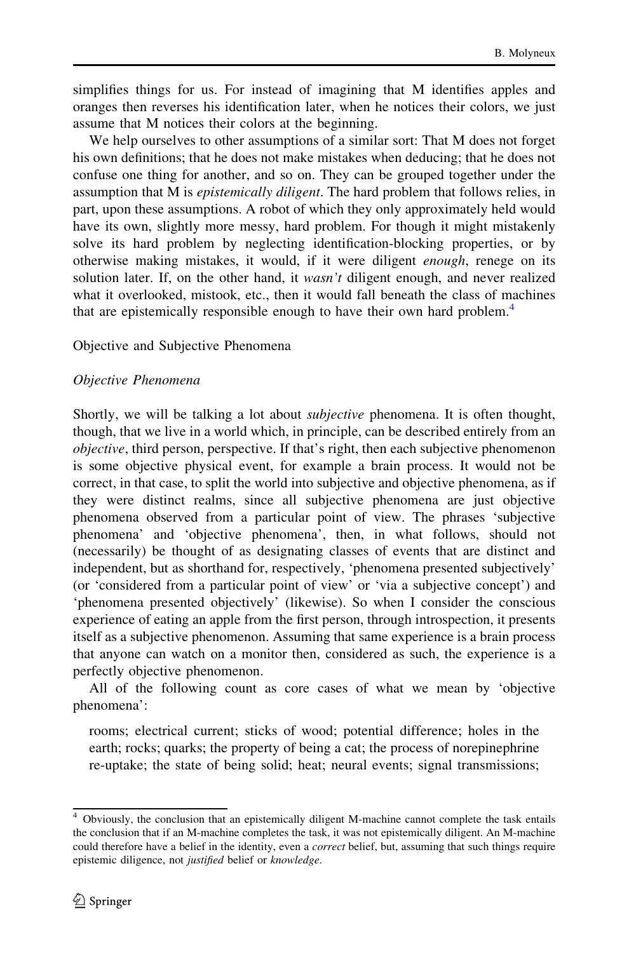simplifies things for us. For instead of imagining that M identifies apples and oranges then reverses his identification later, when he notices their colors, we just assume that M notices their colors at the beginning.

We help ourselves to other assumptions of a similar sort: That M does not forget his own definitions; that he does not make mistakes when deducing; that he does not confuse one thing for another, and so on. They can be grouped together under the assumption that M is *epistemically diligent*. The hard problem that follows relies, in part, upon these assumptions. A robot of which they only approximately held would have its own, slightly more messy, hard problem. For though it might mistakenly solve its hard problem by neglecting identification-blocking properties, or by otherwise making mistakes, it would, if it were diligent enough, renege on its solution later. If, on the other hand, it wasn't diligent enough, and never realized what it overlooked, mistook, etc., then it would fall beneath the class of machines that are epistemically responsible enough to have their own hard problem.<sup>4</sup>

Objective and Subjective Phenomena

# Objective Phenomena

Shortly, we will be talking a lot about *subjective* phenomena. It is often thought, though, that we live in a world which, in principle, can be described entirely from an objective, third person, perspective. If that's right, then each subjective phenomenon is some objective physical event, for example a brain process. It would not be correct, in that case, to split the world into subjective and objective phenomena, as if they were distinct realms, since all subjective phenomena are just objective phenomena observed from a particular point of view. The phrases 'subjective phenomena' and 'objective phenomena', then, in what follows, should not (necessarily) be thought of as designating classes of events that are distinct and independent, but as shorthand for, respectively, 'phenomena presented subjectively' (or 'considered from a particular point of view' or 'via a subjective concept') and 'phenomena presented objectively' (likewise). So when I consider the conscious experience of eating an apple from the first person, through introspection, it presents itself as a subjective phenomenon. Assuming that same experience is a brain process that anyone can watch on a monitor then, considered as such, the experience is a perfectly objective phenomenon.

All of the following count as core cases of what we mean by 'objective phenomena':

rooms; electrical current; sticks of wood; potential difference; holes in the earth; rocks; quarks; the property of being a cat; the process of norepinephrine re-uptake; the state of being solid; heat; neural events; signal transmissions;

<sup>4</sup> Obviously, the conclusion that an epistemically diligent M-machine cannot complete the task entails the conclusion that if an M-machine completes the task, it was not epistemically diligent. An M-machine could therefore have a belief in the identity, even a *correct* belief, but, assuming that such things require epistemic diligence, not justified belief or knowledge.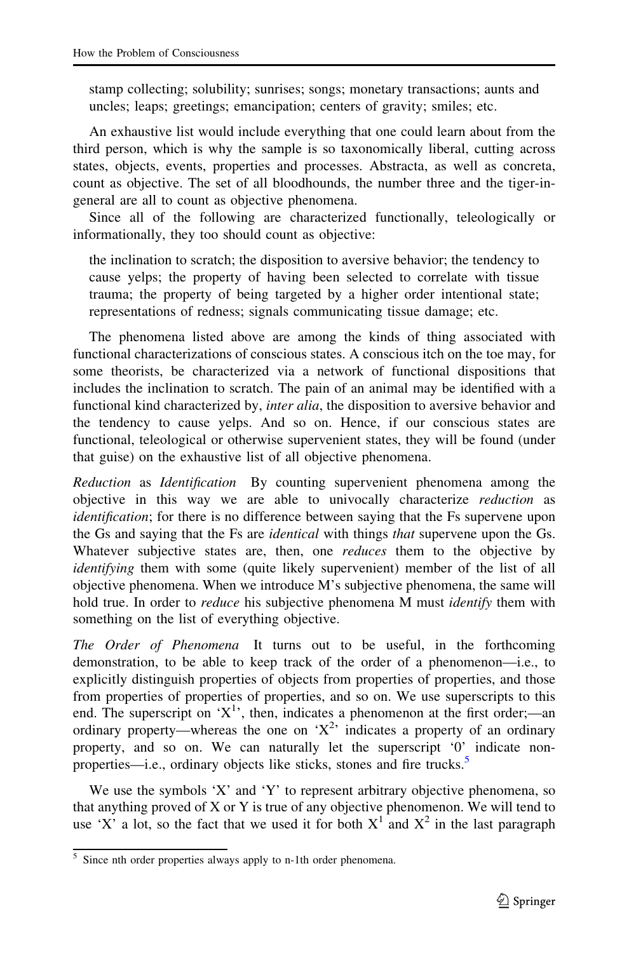stamp collecting; solubility; sunrises; songs; monetary transactions; aunts and uncles; leaps; greetings; emancipation; centers of gravity; smiles; etc.

An exhaustive list would include everything that one could learn about from the third person, which is why the sample is so taxonomically liberal, cutting across states, objects, events, properties and processes. Abstracta, as well as concreta, count as objective. The set of all bloodhounds, the number three and the tiger-ingeneral are all to count as objective phenomena.

Since all of the following are characterized functionally, teleologically or informationally, they too should count as objective:

the inclination to scratch; the disposition to aversive behavior; the tendency to cause yelps; the property of having been selected to correlate with tissue trauma; the property of being targeted by a higher order intentional state; representations of redness; signals communicating tissue damage; etc.

The phenomena listed above are among the kinds of thing associated with functional characterizations of conscious states. A conscious itch on the toe may, for some theorists, be characterized via a network of functional dispositions that includes the inclination to scratch. The pain of an animal may be identified with a functional kind characterized by, inter alia, the disposition to aversive behavior and the tendency to cause yelps. And so on. Hence, if our conscious states are functional, teleological or otherwise supervenient states, they will be found (under that guise) on the exhaustive list of all objective phenomena.

Reduction as Identification By counting supervenient phenomena among the objective in this way we are able to univocally characterize reduction as identification; for there is no difference between saying that the Fs supervene upon the Gs and saying that the Fs are *identical* with things *that* supervene upon the Gs. Whatever subjective states are, then, one *reduces* them to the objective by identifying them with some (quite likely supervenient) member of the list of all objective phenomena. When we introduce M's subjective phenomena, the same will hold true. In order to *reduce* his subjective phenomena M must *identify* them with something on the list of everything objective.

The Order of Phenomena It turns out to be useful, in the forthcoming demonstration, to be able to keep track of the order of a phenomenon—i.e., to explicitly distinguish properties of objects from properties of properties, and those from properties of properties of properties, and so on. We use superscripts to this end. The superscript on ' $X<sup>1</sup>$ , then, indicates a phenomenon at the first order;—an ordinary property—whereas the one on ' $X^2$ ' indicates a property of an ordinary property, and so on. We can naturally let the superscript '0' indicate nonproperties—i.e., ordinary objects like sticks, stones and fire trucks.<sup>5</sup>

We use the symbols 'X' and 'Y' to represent arbitrary objective phenomena, so that anything proved of X or Y is true of any objective phenomenon. We will tend to use 'X' a lot, so the fact that we used it for both  $X<sup>1</sup>$  and  $X<sup>2</sup>$  in the last paragraph

<sup>&</sup>lt;sup>5</sup> Since nth order properties always apply to n-1th order phenomena.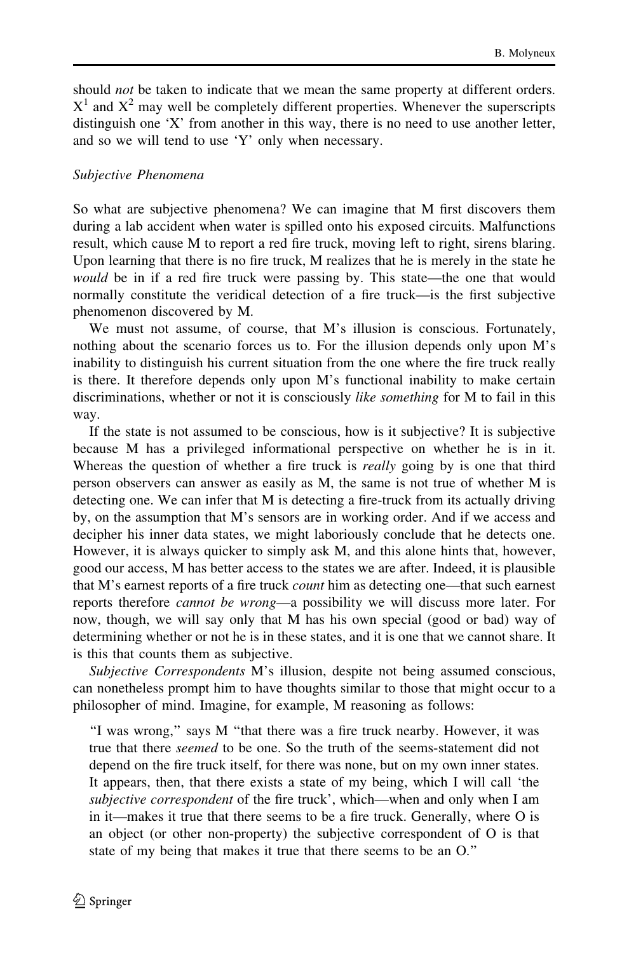should *not* be taken to indicate that we mean the same property at different orders.  $X<sup>1</sup>$  and  $X<sup>2</sup>$  may well be completely different properties. Whenever the superscripts distinguish one 'X' from another in this way, there is no need to use another letter, and so we will tend to use 'Y' only when necessary.

## Subjective Phenomena

So what are subjective phenomena? We can imagine that M first discovers them during a lab accident when water is spilled onto his exposed circuits. Malfunctions result, which cause M to report a red fire truck, moving left to right, sirens blaring. Upon learning that there is no fire truck, M realizes that he is merely in the state he would be in if a red fire truck were passing by. This state—the one that would normally constitute the veridical detection of a fire truck—is the first subjective phenomenon discovered by M.

We must not assume, of course, that M's illusion is conscious. Fortunately, nothing about the scenario forces us to. For the illusion depends only upon M's inability to distinguish his current situation from the one where the fire truck really is there. It therefore depends only upon M's functional inability to make certain discriminations, whether or not it is consciously like something for M to fail in this way.

If the state is not assumed to be conscious, how is it subjective? It is subjective because M has a privileged informational perspective on whether he is in it. Whereas the question of whether a fire truck is *really* going by is one that third person observers can answer as easily as M, the same is not true of whether M is detecting one. We can infer that M is detecting a fire-truck from its actually driving by, on the assumption that M's sensors are in working order. And if we access and decipher his inner data states, we might laboriously conclude that he detects one. However, it is always quicker to simply ask M, and this alone hints that, however, good our access, M has better access to the states we are after. Indeed, it is plausible that M's earnest reports of a fire truck *count* him as detecting one—that such earnest reports therefore cannot be wrong—a possibility we will discuss more later. For now, though, we will say only that M has his own special (good or bad) way of determining whether or not he is in these states, and it is one that we cannot share. It is this that counts them as subjective.

Subjective Correspondents M's illusion, despite not being assumed conscious, can nonetheless prompt him to have thoughts similar to those that might occur to a philosopher of mind. Imagine, for example, M reasoning as follows:

"I was wrong," says M "that there was a fire truck nearby. However, it was true that there seemed to be one. So the truth of the seems-statement did not depend on the fire truck itself, for there was none, but on my own inner states. It appears, then, that there exists a state of my being, which I will call 'the subjective correspondent of the fire truck', which—when and only when I am in it—makes it true that there seems to be a fire truck. Generally, where O is an object (or other non-property) the subjective correspondent of O is that state of my being that makes it true that there seems to be an O.''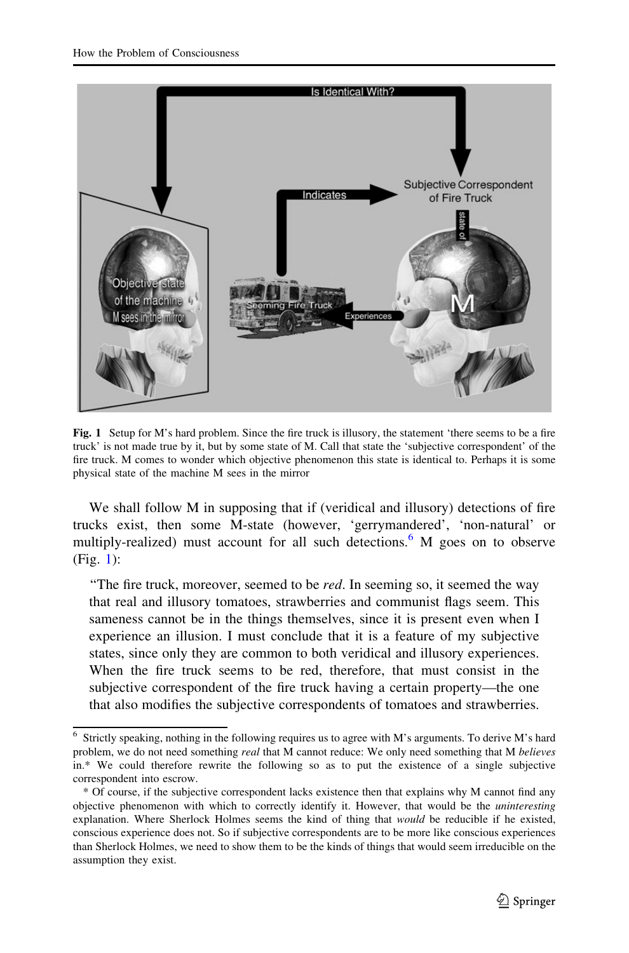

Fig. 1 Setup for M's hard problem. Since the fire truck is illusory, the statement 'there seems to be a fire truck' is not made true by it, but by some state of M. Call that state the 'subjective correspondent' of the fire truck. M comes to wonder which objective phenomenon this state is identical to. Perhaps it is some physical state of the machine M sees in the mirror

We shall follow M in supposing that if (veridical and illusory) detections of fire trucks exist, then some M-state (however, 'gerrymandered', 'non-natural' or multiply-realized) must account for all such detections.<sup>6</sup> M goes on to observe (Fig. 1):

"The fire truck, moreover, seemed to be *red*. In seeming so, it seemed the way that real and illusory tomatoes, strawberries and communist flags seem. This sameness cannot be in the things themselves, since it is present even when I experience an illusion. I must conclude that it is a feature of my subjective states, since only they are common to both veridical and illusory experiences. When the fire truck seems to be red, therefore, that must consist in the subjective correspondent of the fire truck having a certain property—the one that also modifies the subjective correspondents of tomatoes and strawberries.

 $6$  Strictly speaking, nothing in the following requires us to agree with M's arguments. To derive M's hard problem, we do not need something real that M cannot reduce: We only need something that M believes in.\* We could therefore rewrite the following so as to put the existence of a single subjective correspondent into escrow.

<sup>\*</sup> Of course, if the subjective correspondent lacks existence then that explains why M cannot find any objective phenomenon with which to correctly identify it. However, that would be the uninteresting explanation. Where Sherlock Holmes seems the kind of thing that *would* be reducible if he existed, conscious experience does not. So if subjective correspondents are to be more like conscious experiences than Sherlock Holmes, we need to show them to be the kinds of things that would seem irreducible on the assumption they exist.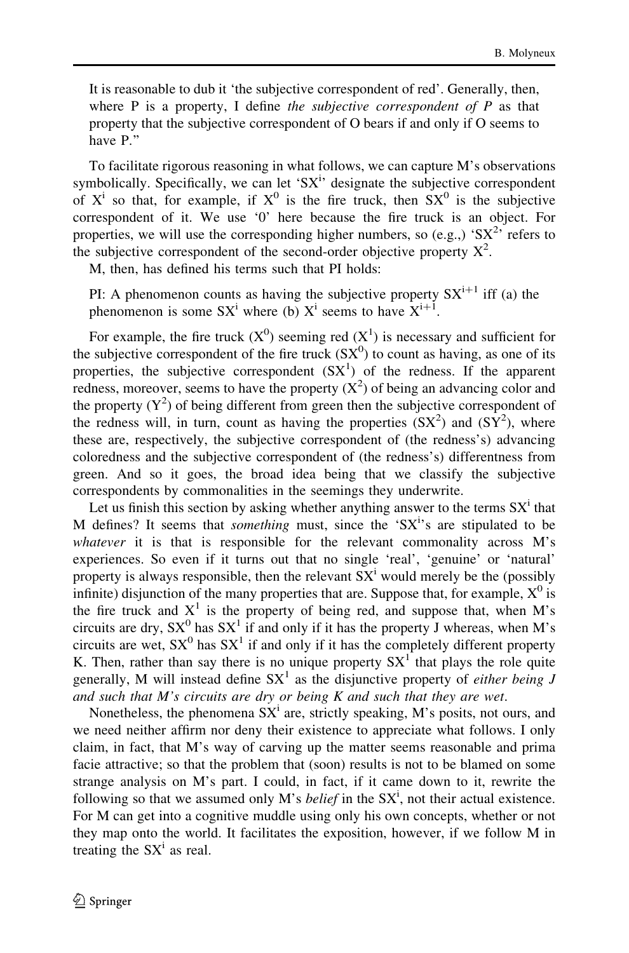It is reasonable to dub it 'the subjective correspondent of red'. Generally, then, where  $P$  is a property, I define the subjective correspondent of  $P$  as that property that the subjective correspondent of O bears if and only if O seems to have P.''

To facilitate rigorous reasoning in what follows, we can capture M's observations symbolically. Specifically, we can let ' $SX<sup>i</sup>$ ' designate the subjective correspondent of  $X^i$  so that, for example, if  $X^0$  is the fire truck, then  $SX^0$  is the subjective correspondent of it. We use '0' here because the fire truck is an object. For properties, we will use the corresponding higher numbers, so (e.g.,) ' $SX<sup>2</sup>$ ' refers to the subjective correspondent of the second-order objective property  $X^2$ .

M, then, has defined his terms such that PI holds:

PI: A phenomenon counts as having the subjective property  $SX^{i+1}$  iff (a) the phenomenon is some  $SX^i$  where (b)  $X^i$  seems to have  $X^{i+1}$ .

For example, the fire truck  $(X^0)$  seeming red  $(X^1)$  is necessary and sufficient for the subjective correspondent of the fire truck  $(SX^0)$  to count as having, as one of its properties, the subjective correspondent  $(SX<sup>1</sup>)$  of the redness. If the apparent redness, moreover, seems to have the property  $(X^2)$  of being an advancing color and the property  $(Y^2)$  of being different from green then the subjective correspondent of the redness will, in turn, count as having the properties  $(SX^2)$  and  $(SY^2)$ , where these are, respectively, the subjective correspondent of (the redness's) advancing coloredness and the subjective correspondent of (the redness's) differentness from green. And so it goes, the broad idea being that we classify the subjective correspondents by commonalities in the seemings they underwrite.

Let us finish this section by asking whether anything answer to the terms  $SX^i$  that M defines? It seems that *something* must, since the 'SX<sup>i</sup>'s are stipulated to be whatever it is that is responsible for the relevant commonality across M's experiences. So even if it turns out that no single 'real', 'genuine' or 'natural' property is always responsible, then the relevant  $SX<sup>i</sup>$  would merely be the (possibly infinite) disjunction of the many properties that are. Suppose that, for example,  $X^0$  is the fire truck and  $X^1$  is the property of being red, and suppose that, when M's circuits are dry,  $SX^0$  has  $SX^1$  if and only if it has the property J whereas, when M's circuits are wet,  $SX^0$  has  $SX^1$  if and only if it has the completely different property K. Then, rather than say there is no unique property  $SX^1$  that plays the role quite generally, M will instead define  $SX^1$  as the disjunctive property of *either being* J and such that  $M$ 's circuits are dry or being  $K$  and such that they are wet.

Nonetheless, the phenomena  $SX<sup>i</sup>$  are, strictly speaking, M's posits, not ours, and we need neither affirm nor deny their existence to appreciate what follows. I only claim, in fact, that M's way of carving up the matter seems reasonable and prima facie attractive; so that the problem that (soon) results is not to be blamed on some strange analysis on M's part. I could, in fact, if it came down to it, rewrite the following so that we assumed only M's *belief* in the  $SX^i$ , not their actual existence. For M can get into a cognitive muddle using only his own concepts, whether or not they map onto the world. It facilitates the exposition, however, if we follow M in treating the  $SX<sup>i</sup>$  as real.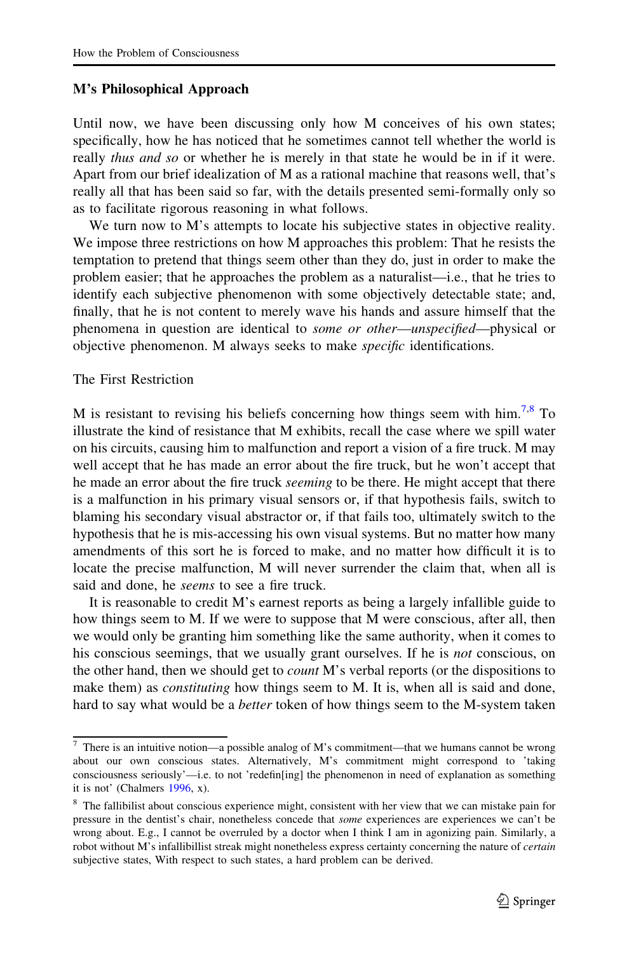## M's Philosophical Approach

Until now, we have been discussing only how M conceives of his own states; specifically, how he has noticed that he sometimes cannot tell whether the world is really *thus and so* or whether he is merely in that state he would be in if it were. Apart from our brief idealization of M as a rational machine that reasons well, that's really all that has been said so far, with the details presented semi-formally only so as to facilitate rigorous reasoning in what follows.

We turn now to M's attempts to locate his subjective states in objective reality. We impose three restrictions on how M approaches this problem: That he resists the temptation to pretend that things seem other than they do, just in order to make the problem easier; that he approaches the problem as a naturalist—i.e., that he tries to identify each subjective phenomenon with some objectively detectable state; and, finally, that he is not content to merely wave his hands and assure himself that the phenomena in question are identical to some or other—unspecified—physical or objective phenomenon. M always seeks to make specific identifications.

## The First Restriction

M is resistant to revising his beliefs concerning how things seem with him.<sup>7,8</sup> To illustrate the kind of resistance that M exhibits, recall the case where we spill water on his circuits, causing him to malfunction and report a vision of a fire truck. M may well accept that he has made an error about the fire truck, but he won't accept that he made an error about the fire truck *seeming* to be there. He might accept that there is a malfunction in his primary visual sensors or, if that hypothesis fails, switch to blaming his secondary visual abstractor or, if that fails too, ultimately switch to the hypothesis that he is mis-accessing his own visual systems. But no matter how many amendments of this sort he is forced to make, and no matter how difficult it is to locate the precise malfunction, M will never surrender the claim that, when all is said and done, he seems to see a fire truck.

It is reasonable to credit M's earnest reports as being a largely infallible guide to how things seem to M. If we were to suppose that M were conscious, after all, then we would only be granting him something like the same authority, when it comes to his conscious seemings, that we usually grant ourselves. If he is not conscious, on the other hand, then we should get to *count* M's verbal reports (or the dispositions to make them) as *constituting* how things seem to M. It is, when all is said and done, hard to say what would be a *better* token of how things seem to the M-system taken

 $7$  There is an intuitive notion—a possible analog of M's commitment—that we humans cannot be wrong about our own conscious states. Alternatively, M's commitment might correspond to 'taking consciousness seriously'—i.e. to not 'redefin[ing] the phenomenon in need of explanation as something it is not' (Chalmers [1996](#page-20-0), x).

<sup>&</sup>lt;sup>8</sup> The fallibilist about conscious experience might, consistent with her view that we can mistake pain for pressure in the dentist's chair, nonetheless concede that some experiences are experiences we can't be wrong about. E.g., I cannot be overruled by a doctor when I think I am in agonizing pain. Similarly, a robot without M's infallibillist streak might nonetheless express certainty concerning the nature of *certain* subjective states, With respect to such states, a hard problem can be derived.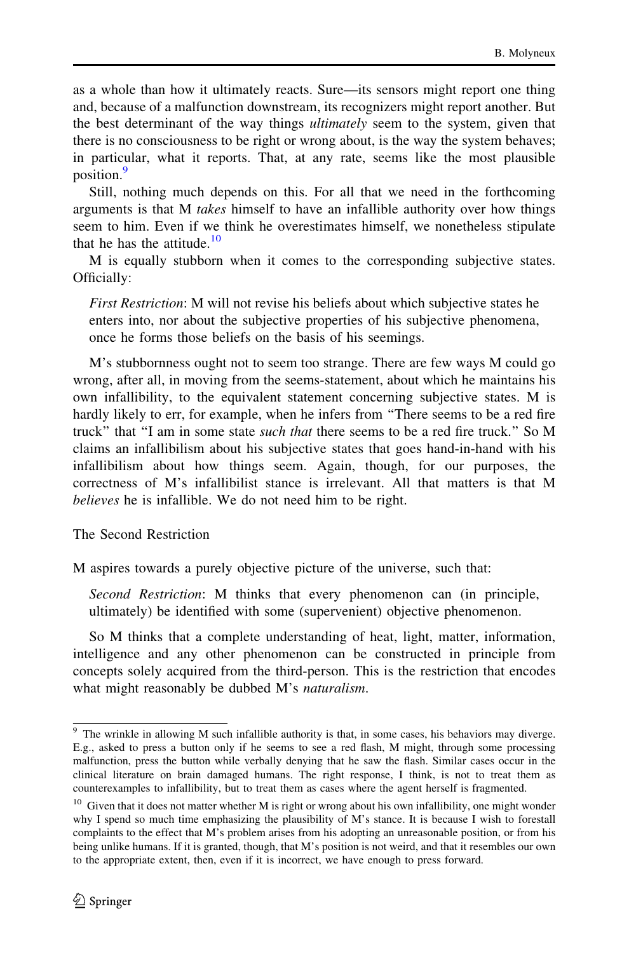as a whole than how it ultimately reacts. Sure—its sensors might report one thing and, because of a malfunction downstream, its recognizers might report another. But the best determinant of the way things *ultimately* seem to the system, given that there is no consciousness to be right or wrong about, is the way the system behaves; in particular, what it reports. That, at any rate, seems like the most plausible position.<sup>9</sup>

Still, nothing much depends on this. For all that we need in the forthcoming arguments is that M takes himself to have an infallible authority over how things seem to him. Even if we think he overestimates himself, we nonetheless stipulate that he has the attitude. $10$ 

M is equally stubborn when it comes to the corresponding subjective states. Officially:

First Restriction: M will not revise his beliefs about which subjective states he enters into, nor about the subjective properties of his subjective phenomena, once he forms those beliefs on the basis of his seemings.

M's stubbornness ought not to seem too strange. There are few ways M could go wrong, after all, in moving from the seems-statement, about which he maintains his own infallibility, to the equivalent statement concerning subjective states. M is hardly likely to err, for example, when he infers from ''There seems to be a red fire truck" that "I am in some state *such that* there seems to be a red fire truck." So M claims an infallibilism about his subjective states that goes hand-in-hand with his infallibilism about how things seem. Again, though, for our purposes, the correctness of M's infallibilist stance is irrelevant. All that matters is that M believes he is infallible. We do not need him to be right.

The Second Restriction

M aspires towards a purely objective picture of the universe, such that:

Second Restriction: M thinks that every phenomenon can (in principle, ultimately) be identified with some (supervenient) objective phenomenon.

So M thinks that a complete understanding of heat, light, matter, information, intelligence and any other phenomenon can be constructed in principle from concepts solely acquired from the third-person. This is the restriction that encodes what might reasonably be dubbed M's naturalism.

<sup>&</sup>lt;sup>9</sup> The wrinkle in allowing M such infallible authority is that, in some cases, his behaviors may diverge. E.g., asked to press a button only if he seems to see a red flash, M might, through some processing malfunction, press the button while verbally denying that he saw the flash. Similar cases occur in the clinical literature on brain damaged humans. The right response, I think, is not to treat them as counterexamples to infallibility, but to treat them as cases where the agent herself is fragmented.

<sup>&</sup>lt;sup>10</sup> Given that it does not matter whether M is right or wrong about his own infallibility, one might wonder why I spend so much time emphasizing the plausibility of M's stance. It is because I wish to forestall complaints to the effect that M's problem arises from his adopting an unreasonable position, or from his being unlike humans. If it is granted, though, that M's position is not weird, and that it resembles our own to the appropriate extent, then, even if it is incorrect, we have enough to press forward.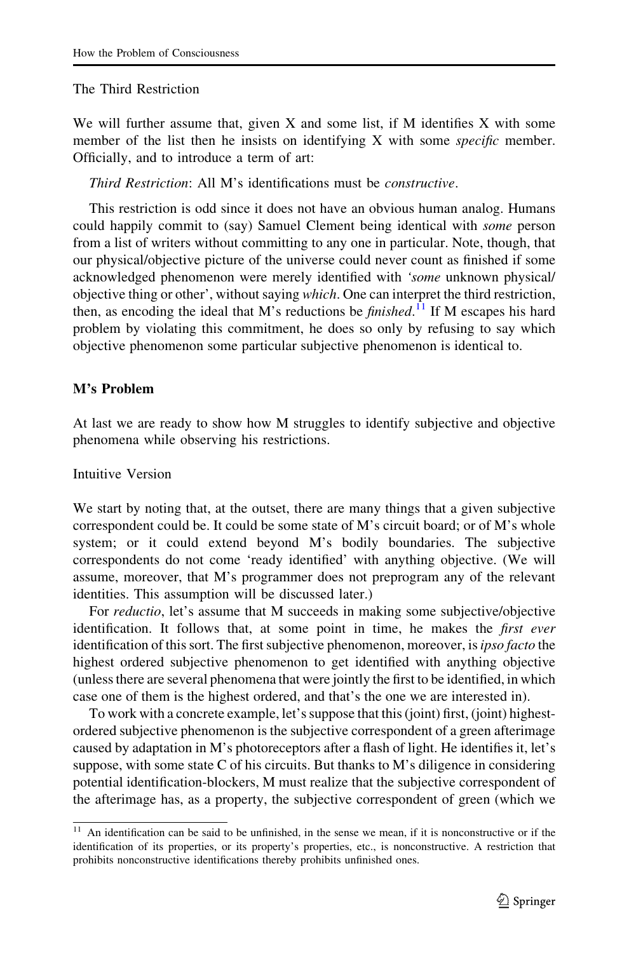#### The Third Restriction

We will further assume that, given  $X$  and some list, if  $M$  identifies  $X$  with some member of the list then he insists on identifying X with some *specific* member. Officially, and to introduce a term of art:

Third Restriction: All M's identifications must be constructive.

This restriction is odd since it does not have an obvious human analog. Humans could happily commit to (say) Samuel Clement being identical with some person from a list of writers without committing to any one in particular. Note, though, that our physical/objective picture of the universe could never count as finished if some acknowledged phenomenon were merely identified with 'some unknown physical/ objective thing or other', without saying which. One can interpret the third restriction, then, as encoding the ideal that M's reductions be  $\textit{finitely}$ . If M escapes his hard problem by violating this commitment, he does so only by refusing to say which objective phenomenon some particular subjective phenomenon is identical to.

## M's Problem

At last we are ready to show how M struggles to identify subjective and objective phenomena while observing his restrictions.

#### Intuitive Version

We start by noting that, at the outset, there are many things that a given subjective correspondent could be. It could be some state of M's circuit board; or of M's whole system; or it could extend beyond M's bodily boundaries. The subjective correspondents do not come 'ready identified' with anything objective. (We will assume, moreover, that M's programmer does not preprogram any of the relevant identities. This assumption will be discussed later.)

For reductio, let's assume that M succeeds in making some subjective/objective identification. It follows that, at some point in time, he makes the *first ever* identification of this sort. The first subjective phenomenon, moreover, is *ipso facto* the highest ordered subjective phenomenon to get identified with anything objective (unless there are several phenomena that were jointly the first to be identified, in which case one of them is the highest ordered, and that's the one we are interested in).

To work with a concrete example, let's suppose that this (joint) first, (joint) highestordered subjective phenomenon is the subjective correspondent of a green afterimage caused by adaptation in M's photoreceptors after a flash of light. He identifies it, let's suppose, with some state C of his circuits. But thanks to M's diligence in considering potential identification-blockers, M must realize that the subjective correspondent of the afterimage has, as a property, the subjective correspondent of green (which we

 $\frac{11}{11}$  An identification can be said to be unfinished, in the sense we mean, if it is nonconstructive or if the identification of its properties, or its property's properties, etc., is nonconstructive. A restriction that prohibits nonconstructive identifications thereby prohibits unfinished ones.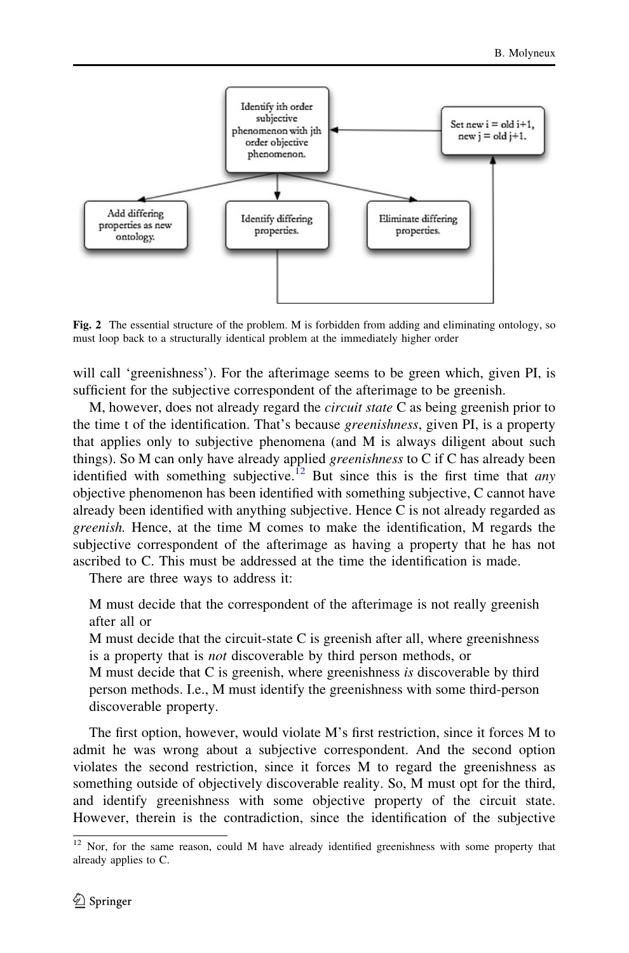<span id="page-11-0"></span>

Fig. 2 The essential structure of the problem. M is forbidden from adding and eliminating ontology, so must loop back to a structurally identical problem at the immediately higher order

will call 'greenishness'). For the afterimage seems to be green which, given PI, is sufficient for the subjective correspondent of the afterimage to be greenish.

M, however, does not already regard the *circuit state* C as being greenish prior to the time t of the identification. That's because *greenishness*, given PI, is a property that applies only to subjective phenomena (and M is always diligent about such things). So M can only have already applied greenishness to C if C has already been identified with something subjective.<sup>12</sup> But since this is the first time that *any* objective phenomenon has been identified with something subjective, C cannot have already been identified with anything subjective. Hence C is not already regarded as greenish. Hence, at the time M comes to make the identification, M regards the subjective correspondent of the afterimage as having a property that he has not ascribed to C. This must be addressed at the time the identification is made.

There are three ways to address it:

M must decide that the correspondent of the afterimage is not really greenish after all or

M must decide that the circuit-state C is greenish after all, where greenishness is a property that is not discoverable by third person methods, or

M must decide that C is greenish, where greenishness is discoverable by third person methods. I.e., M must identify the greenishness with some third-person discoverable property.

The first option, however, would violate M's first restriction, since it forces M to admit he was wrong about a subjective correspondent. And the second option violates the second restriction, since it forces M to regard the greenishness as something outside of objectively discoverable reality. So, M must opt for the third, and identify greenishness with some objective property of the circuit state. However, therein is the contradiction, since the identification of the subjective

<sup>&</sup>lt;sup>12</sup> Nor, for the same reason, could M have already identified greenishness with some property that already applies to C.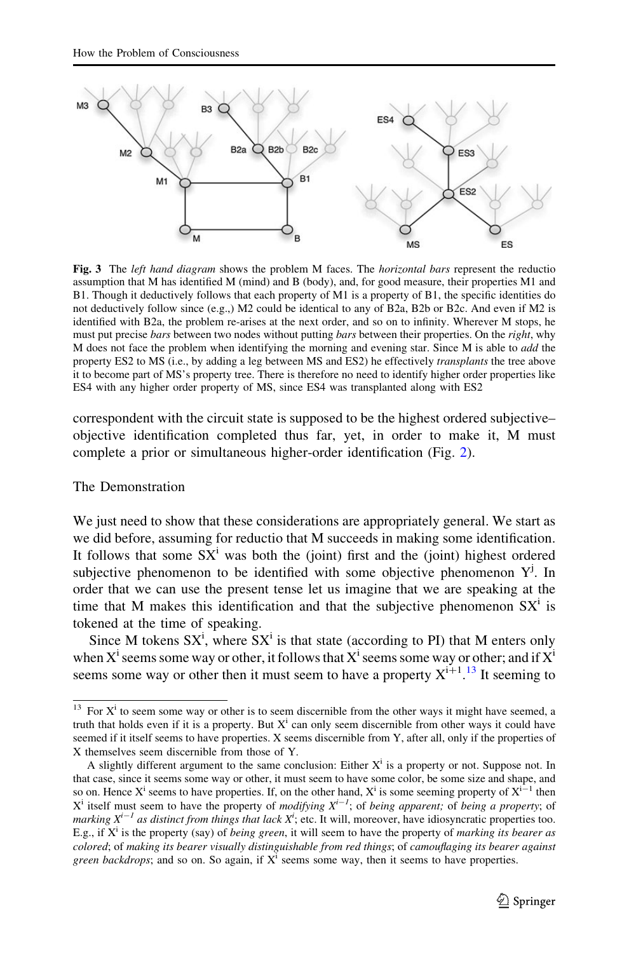<span id="page-12-0"></span>

Fig. 3 The left hand diagram shows the problem M faces. The horizontal bars represent the reductio assumption that M has identified M (mind) and B (body), and, for good measure, their properties M1 and B1. Though it deductively follows that each property of M1 is a property of B1, the specific identities do not deductively follow since (e.g.,) M2 could be identical to any of B2a, B2b or B2c. And even if M2 is identified with B2a, the problem re-arises at the next order, and so on to infinity. Wherever M stops, he must put precise *bars* between two nodes without putting *bars* between their properties. On the *right*, why M does not face the problem when identifying the morning and evening star. Since M is able to *add* the property ES2 to MS (i.e., by adding a leg between MS and ES2) he effectively transplants the tree above it to become part of MS's property tree. There is therefore no need to identify higher order properties like ES4 with any higher order property of MS, since ES4 was transplanted along with ES2

correspondent with the circuit state is supposed to be the highest ordered subjective– objective identification completed thus far, yet, in order to make it, M must complete a prior or simultaneous higher-order identification (Fig. [2](#page-11-0)).

#### The Demonstration

We just need to show that these considerations are appropriately general. We start as we did before, assuming for reductio that M succeeds in making some identification. It follows that some  $SX^i$  was both the (joint) first and the (joint) highest ordered subjective phenomenon to be identified with some objective phenomenon  $Y^j$ . In order that we can use the present tense let us imagine that we are speaking at the time that M makes this identification and that the subjective phenomenon  $SX<sup>i</sup>$  is tokened at the time of speaking.

Since M tokens  $SX^i$ , where  $SX^i$  is that state (according to PI) that M enters only when  $X^i$  seems some way or other, it follows that  $X^i$  seems some way or other; and if  $X^i$ seems some way or other then it must seem to have a property  $X^{i+1}$ .<sup>13</sup> It seeming to

 $13$  For  $X^i$  to seem some way or other is to seem discernible from the other ways it might have seemed, a truth that holds even if it is a property. But  $X^i$  can only seem discernible from other ways it could have seemed if it itself seems to have properties. X seems discernible from Y, after all, only if the properties of X themselves seem discernible from those of Y.

A slightly different argument to the same conclusion: Either  $X^i$  is a property or not. Suppose not. In that case, since it seems some way or other, it must seem to have some color, be some size and shape, and so on. Hence  $X^i$  seems to have properties. If, on the other hand,  $X^i$  is some seeming property of  $X^{i-1}$  then  $X^i$  itself must seem to have the property of *modifying*  $X^{i-1}$ ; of *being apparent*; of *being a property*; of marking  $X^{i-1}$  as distinct from things that lack  $X^i$ ; etc. It will, moreover, have idiosyncratic properties too. E.g., if  $X<sup>i</sup>$  is the property (say) of *being green*, it will seem to have the property of *marking its bearer as* colored; of making its bearer visually distinguishable from red things; of camouflaging its bearer against green backdrops; and so on. So again, if  $X^i$  seems some way, then it seems to have properties.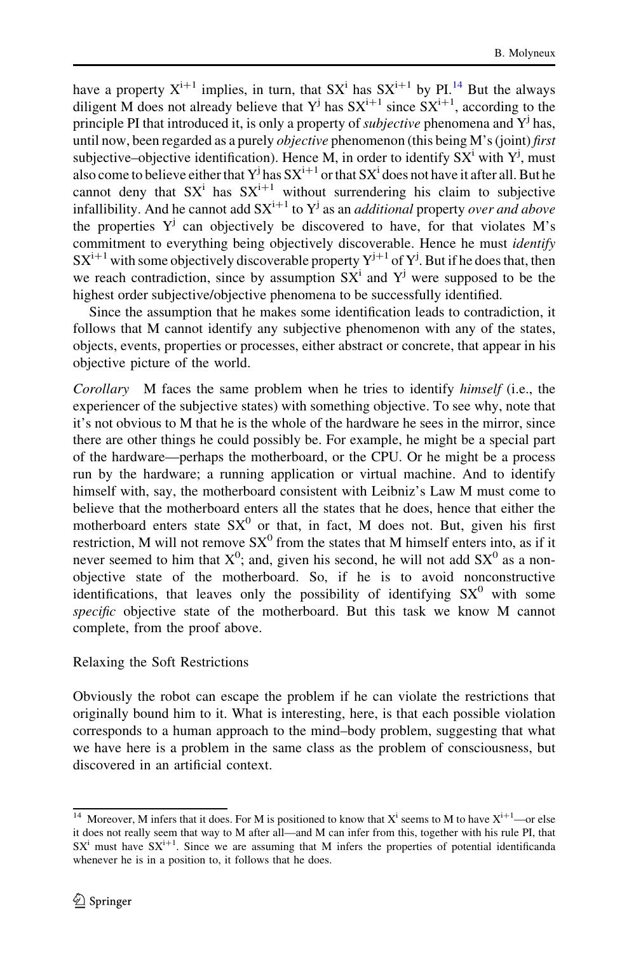have a property  $X^{i+1}$  implies, in turn, that  $SX^i$  has  $SX^{i+1}$  by PI.<sup>14</sup> But the always diligent M does not already believe that  $Y^j$  has  $SX^{i+1}$  since  $SX^{i+1}$ , according to the principle PI that introduced it, is only a property of *subjective* phenomena and  $Y^j$  has, until now, been regarded as a purely *objective* phenomenon (this being M's (joint) *first* subjective–objective identification). Hence M, in order to identify  $SX^i$  with  $Y^j$ , must also come to believe either that  $Y^j$  has  $SX^{i+1}$  or that  $SX^i$  does not have it after all. But he cannot deny that  $SX^i$  has  $SX^{i+1}$  without surrendering his claim to subjective infallibility. And he cannot add  $SX^{i+1}$  to  $Y^j$  as an *additional* property *over and above* the properties  $Y^j$  can objectively be discovered to have, for that violates M's commitment to everything being objectively discoverable. Hence he must *identify*  $SX^{i+1}$  with some objectively discoverable property  $Y^{j+1}$  of  $Y^j$ . But if he does that, then we reach contradiction, since by assumption  $SX^i$  and  $Y^j$  were supposed to be the highest order subjective/objective phenomena to be successfully identified.

Since the assumption that he makes some identification leads to contradiction, it follows that M cannot identify any subjective phenomenon with any of the states, objects, events, properties or processes, either abstract or concrete, that appear in his objective picture of the world.

Corollary M faces the same problem when he tries to identify himself (i.e., the experiencer of the subjective states) with something objective. To see why, note that it's not obvious to M that he is the whole of the hardware he sees in the mirror, since there are other things he could possibly be. For example, he might be a special part of the hardware—perhaps the motherboard, or the CPU. Or he might be a process run by the hardware; a running application or virtual machine. And to identify himself with, say, the motherboard consistent with Leibniz's Law M must come to believe that the motherboard enters all the states that he does, hence that either the motherboard enters state  $SX^0$  or that, in fact, M does not. But, given his first restriction. M will not remove  $SX^0$  from the states that M himself enters into, as if it never seemed to him that  $X^0$ ; and, given his second, he will not add  $SX^0$  as a nonobjective state of the motherboard. So, if he is to avoid nonconstructive identifications, that leaves only the possibility of identifying  $SX^0$  with some specific objective state of the motherboard. But this task we know M cannot complete, from the proof above.

# Relaxing the Soft Restrictions

Obviously the robot can escape the problem if he can violate the restrictions that originally bound him to it. What is interesting, here, is that each possible violation corresponds to a human approach to the mind–body problem, suggesting that what we have here is a problem in the same class as the problem of consciousness, but discovered in an artificial context.

<sup>&</sup>lt;sup>14</sup> Moreover, M infers that it does. For M is positioned to know that  $X^i$  seems to M to have  $X^{i+1}$ —or else it does not really seem that way to M after all—and M can infer from this, together with his rule PI, that  $SX<sup>i</sup>$  must have  $SX<sup>i+1</sup>$ . Since we are assuming that M infers the properties of potential identificanda whenever he is in a position to, it follows that he does.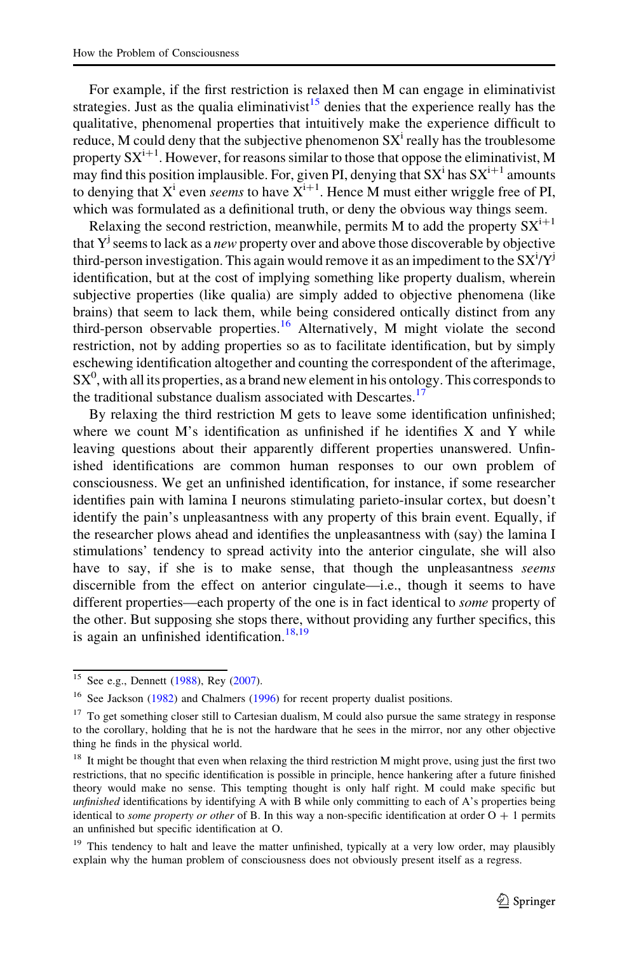For example, if the first restriction is relaxed then M can engage in eliminativist strategies. Just as the qualia eliminativist<sup>15</sup> denies that the experience really has the qualitative, phenomenal properties that intuitively make the experience difficult to reduce, M could deny that the subjective phenomenon  $SX^i$  really has the troublesome property  $SX^{i+1}$ . However, for reasons similar to those that oppose the eliminativist, M may find this position implausible. For, given PI, denying that  $SX^i$  has  $SX^{i+1}$  amounts to denying that  $X^i$  even *seems* to have  $X^{i+1}$ . Hence M must either wriggle free of PI, which was formulated as a definitional truth, or deny the obvious way things seem.

Relaxing the second restriction, meanwhile, permits M to add the property  $SX^{i+1}$ that  $Y^j$  seems to lack as a *new* property over and above those discoverable by objective third-person investigation. This again would remove it as an impediment to the  $\mathrm{S}\mathrm{X}^{\mathrm{i}}\mathrm{}/\mathrm{Y}^{\mathrm{j}}$ identification, but at the cost of implying something like property dualism, wherein subjective properties (like qualia) are simply added to objective phenomena (like brains) that seem to lack them, while being considered ontically distinct from any third-person observable properties.<sup>16</sup> Alternatively, M might violate the second restriction, not by adding properties so as to facilitate identification, but by simply eschewing identification altogether and counting the correspondent of the afterimage,  $\text{S(X}^0,$  with all its properties, as a brand new element in his ontology. This corresponds to the traditional substance dualism associated with Descartes.<sup>17</sup>

By relaxing the third restriction M gets to leave some identification unfinished; where we count  $M$ 's identification as unfinished if he identifies  $X$  and  $Y$  while leaving questions about their apparently different properties unanswered. Unfinished identifications are common human responses to our own problem of consciousness. We get an unfinished identification, for instance, if some researcher identifies pain with lamina I neurons stimulating parieto-insular cortex, but doesn't identify the pain's unpleasantness with any property of this brain event. Equally, if the researcher plows ahead and identifies the unpleasantness with (say) the lamina I stimulations' tendency to spread activity into the anterior cingulate, she will also have to say, if she is to make sense, that though the unpleasantness seems discernible from the effect on anterior cingulate—i.e., though it seems to have different properties—each property of the one is in fact identical to *some* property of the other. But supposing she stops there, without providing any further specifics, this is again an unfinished identification.<sup>18,19</sup>

<sup>&</sup>lt;sup>15</sup> See e.g., Dennett ([1988\)](#page-20-0), Rey [\(2007](#page-20-0)).

<sup>&</sup>lt;sup>16</sup> See Jackson ([1982](#page-20-0)) and Chalmers ([1996\)](#page-20-0) for recent property dualist positions.

<sup>&</sup>lt;sup>17</sup> To get something closer still to Cartesian dualism, M could also pursue the same strategy in response to the corollary, holding that he is not the hardware that he sees in the mirror, nor any other objective thing he finds in the physical world.

<sup>&</sup>lt;sup>18</sup> It might be thought that even when relaxing the third restriction M might prove, using just the first two restrictions, that no specific identification is possible in principle, hence hankering after a future finished theory would make no sense. This tempting thought is only half right. M could make specific but unfinished identifications by identifying A with B while only committing to each of A's properties being identical to *some property or other* of B. In this way a non-specific identification at order  $O + 1$  permits an unfinished but specific identification at O.

<sup>&</sup>lt;sup>19</sup> This tendency to halt and leave the matter unfinished, typically at a very low order, may plausibly explain why the human problem of consciousness does not obviously present itself as a regress.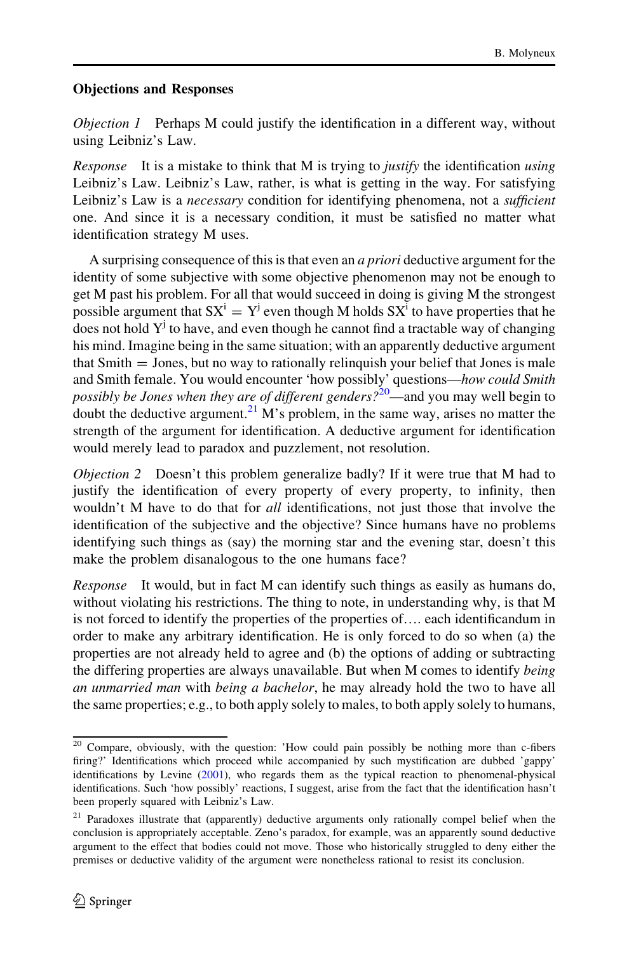# Objections and Responses

*Objection 1* Perhaps M could justify the identification in a different way, without using Leibniz's Law.

Response It is a mistake to think that M is trying to *justify* the identification using Leibniz's Law. Leibniz's Law, rather, is what is getting in the way. For satisfying Leibniz's Law is a *necessary* condition for identifying phenomena, not a *sufficient* one. And since it is a necessary condition, it must be satisfied no matter what identification strategy M uses.

A surprising consequence of this is that even an a priori deductive argument for the identity of some subjective with some objective phenomenon may not be enough to get M past his problem. For all that would succeed in doing is giving M the strongest possible argument that  $SX^i = Y^j$  even though M holds  $SX^i$  to have properties that he does not hold  $Y^j$  to have, and even though he cannot find a tractable way of changing his mind. Imagine being in the same situation; with an apparently deductive argument that Smith = Jones, but no way to rationally relinquish your belief that Jones is male and Smith female. You would encounter 'how possibly' questions—how could Smith *possibly be Jones when they are of different genders?*<sup>20</sup>—and you may well begin to doubt the deductive argument.<sup>21</sup> M's problem, in the same way, arises no matter the strength of the argument for identification. A deductive argument for identification would merely lead to paradox and puzzlement, not resolution.

Objection 2 Doesn't this problem generalize badly? If it were true that M had to justify the identification of every property of every property, to infinity, then wouldn't M have to do that for all identifications, not just those that involve the identification of the subjective and the objective? Since humans have no problems identifying such things as (say) the morning star and the evening star, doesn't this make the problem disanalogous to the one humans face?

Response It would, but in fact M can identify such things as easily as humans do, without violating his restrictions. The thing to note, in understanding why, is that M is not forced to identify the properties of the properties of…. each identificandum in order to make any arbitrary identification. He is only forced to do so when (a) the properties are not already held to agree and (b) the options of adding or subtracting the differing properties are always unavailable. But when M comes to identify *being* an unmarried man with being a bachelor, he may already hold the two to have all the same properties; e.g., to both apply solely to males, to both apply solely to humans,

<sup>&</sup>lt;sup>20</sup> Compare, obviously, with the question: 'How could pain possibly be nothing more than c-fibers firing?' Identifications which proceed while accompanied by such mystification are dubbed 'gappy' identifications by Levine ([2001\)](#page-20-0), who regards them as the typical reaction to phenomenal-physical identifications. Such 'how possibly' reactions, I suggest, arise from the fact that the identification hasn't been properly squared with Leibniz's Law.

<sup>&</sup>lt;sup>21</sup> Paradoxes illustrate that (apparently) deductive arguments only rationally compel belief when the conclusion is appropriately acceptable. Zeno's paradox, for example, was an apparently sound deductive argument to the effect that bodies could not move. Those who historically struggled to deny either the premises or deductive validity of the argument were nonetheless rational to resist its conclusion.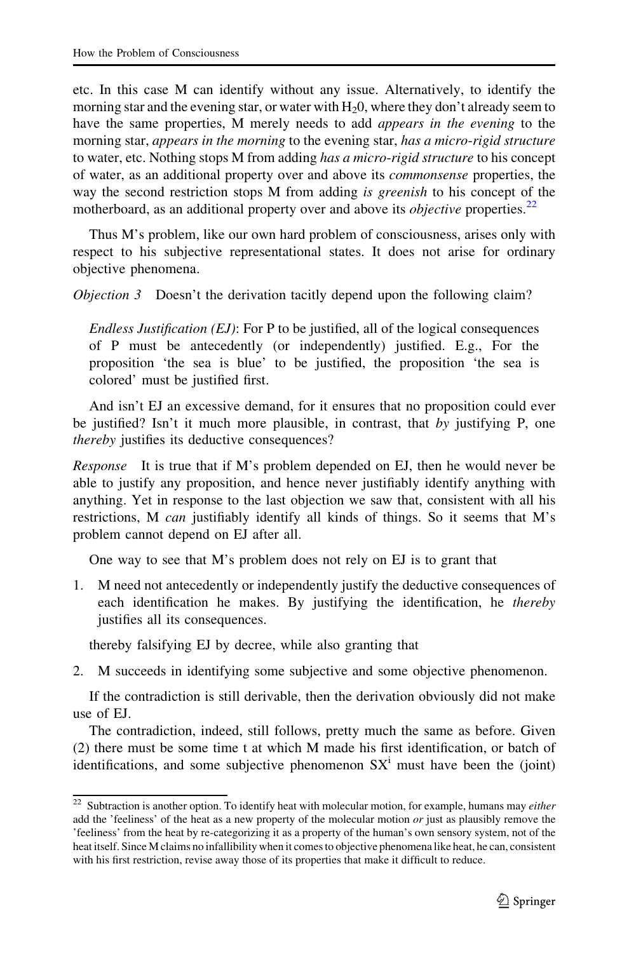etc. In this case M can identify without any issue. Alternatively, to identify the morning star and the evening star, or water with  $H<sub>2</sub>0$ , where they don't already seem to have the same properties, M merely needs to add *appears in the evening* to the morning star, *appears in the morning* to the evening star, has a micro-rigid structure to water, etc. Nothing stops M from adding has a micro-rigid structure to his concept of water, as an additional property over and above its commonsense properties, the way the second restriction stops M from adding is greenish to his concept of the motherboard, as an additional property over and above its *objective* properties.<sup>22</sup>

Thus M's problem, like our own hard problem of consciousness, arises only with respect to his subjective representational states. It does not arise for ordinary objective phenomena.

*Objection 3* Doesn't the derivation tacitly depend upon the following claim?

Endless Justification (EJ): For P to be justified, all of the logical consequences of P must be antecedently (or independently) justified. E.g., For the proposition 'the sea is blue' to be justified, the proposition 'the sea is colored' must be justified first.

And isn't EJ an excessive demand, for it ensures that no proposition could ever be justified? Isn't it much more plausible, in contrast, that by justifying P, one thereby justifies its deductive consequences?

Response It is true that if M's problem depended on EJ, then he would never be able to justify any proposition, and hence never justifiably identify anything with anything. Yet in response to the last objection we saw that, consistent with all his restrictions, M can justifiably identify all kinds of things. So it seems that M's problem cannot depend on EJ after all.

One way to see that M's problem does not rely on EJ is to grant that

1. M need not antecedently or independently justify the deductive consequences of each identification he makes. By justifying the identification, he thereby justifies all its consequences.

thereby falsifying EJ by decree, while also granting that

2. M succeeds in identifying some subjective and some objective phenomenon.

If the contradiction is still derivable, then the derivation obviously did not make use of EJ.

The contradiction, indeed, still follows, pretty much the same as before. Given (2) there must be some time t at which M made his first identification, or batch of identifications, and some subjective phenomenon  $SX^i$  must have been the (joint)

 $22$  Subtraction is another option. To identify heat with molecular motion, for example, humans may either add the 'feeliness' of the heat as a new property of the molecular motion  $or$  just as plausibly remove the 'feeliness' from the heat by re-categorizing it as a property of the human's own sensory system, not of the heat itself. Since M claims no infallibility when it comes to objective phenomena like heat, he can, consistent with his first restriction, revise away those of its properties that make it difficult to reduce.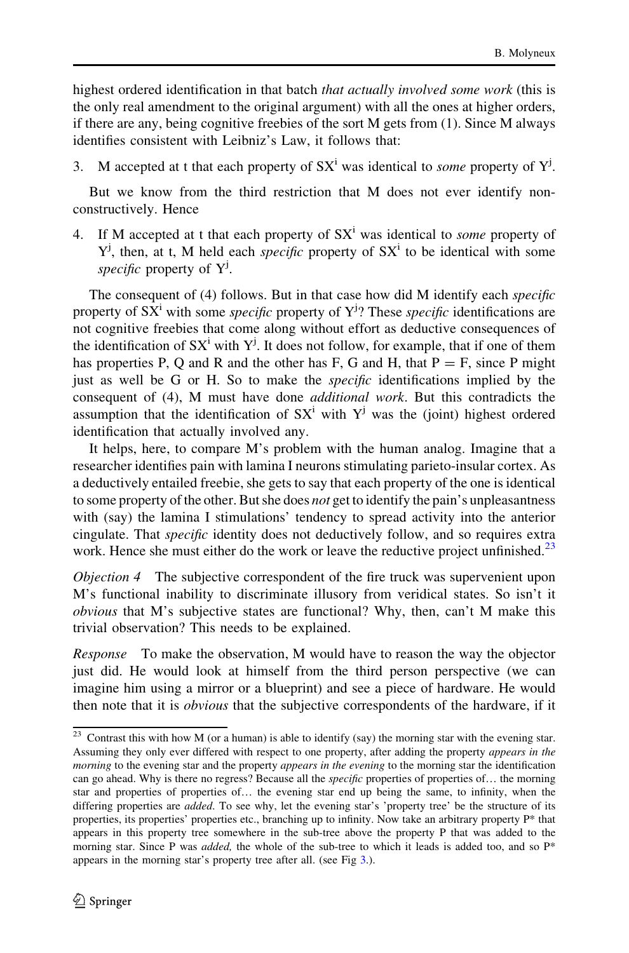highest ordered identification in that batch *that actually involved some work* (this is the only real amendment to the original argument) with all the ones at higher orders, if there are any, being cognitive freebies of the sort M gets from (1). Since M always identifies consistent with Leibniz's Law, it follows that:

3. M accepted at t that each property of  $SX<sup>i</sup>$  was identical to *some* property of  $Y<sup>j</sup>$ .

But we know from the third restriction that M does not ever identify nonconstructively. Hence

4. If M accepted at t that each property of  $SX<sup>i</sup>$  was identical to *some* property of  $Y^j$ , then, at t, M held each *specific* property of  $SX^i$  to be identical with some specific property of Y<sup>j</sup>.

The consequent of (4) follows. But in that case how did M identify each *specific* property of SX<sup>i</sup> with some *specific* property of  $Y^j$ ? These *specific* identifications are not cognitive freebies that come along without effort as deductive consequences of the identification of  $SX^i$  with  $Y^j$ . It does not follow, for example, that if one of them has properties P, Q and R and the other has F, G and H, that  $P = F$ , since P might just as well be G or H. So to make the specific identifications implied by the consequent of (4), M must have done *additional work*. But this contradicts the assumption that the identification of  $SX^i$  with  $Y^j$  was the (joint) highest ordered identification that actually involved any.

It helps, here, to compare M's problem with the human analog. Imagine that a researcher identifies pain with lamina I neurons stimulating parieto-insular cortex. As a deductively entailed freebie, she gets to say that each property of the one is identical to some property of the other. But she does not get to identify the pain's unpleasantness with (say) the lamina I stimulations' tendency to spread activity into the anterior cingulate. That specific identity does not deductively follow, and so requires extra work. Hence she must either do the work or leave the reductive project unfinished. $^{23}$ 

*Objection 4* The subjective correspondent of the fire truck was supervenient upon M's functional inability to discriminate illusory from veridical states. So isn't it obvious that M's subjective states are functional? Why, then, can't M make this trivial observation? This needs to be explained.

Response To make the observation, M would have to reason the way the objector just did. He would look at himself from the third person perspective (we can imagine him using a mirror or a blueprint) and see a piece of hardware. He would then note that it is *obvious* that the subjective correspondents of the hardware, if it

 $23$  Contrast this with how M (or a human) is able to identify (say) the morning star with the evening star. Assuming they only ever differed with respect to one property, after adding the property appears in the morning to the evening star and the property *appears in the evening* to the morning star the identification can go ahead. Why is there no regress? Because all the *specific* properties of properties of... the morning star and properties of properties of… the evening star end up being the same, to infinity, when the differing properties are *added*. To see why, let the evening star's 'property tree' be the structure of its properties, its properties' properties etc., branching up to infinity. Now take an arbitrary property  $P^*$  that appears in this property tree somewhere in the sub-tree above the property P that was added to the morning star. Since P was *added*, the whole of the sub-tree to which it leads is added too, and so  $P^*$ appears in the morning star's property tree after all. (see Fig [3.](#page-12-0)).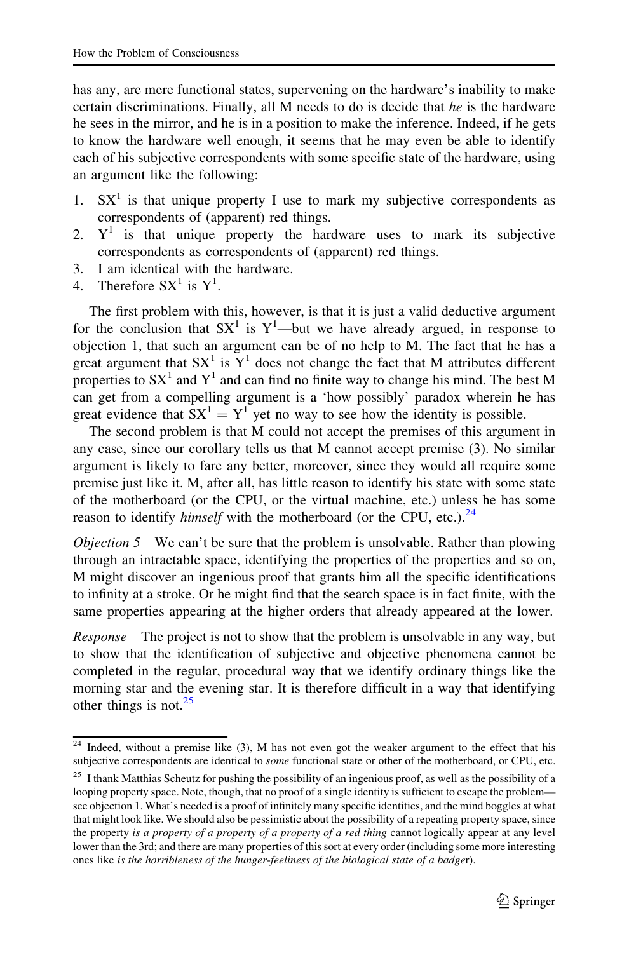has any, are mere functional states, supervening on the hardware's inability to make certain discriminations. Finally, all M needs to do is decide that he is the hardware he sees in the mirror, and he is in a position to make the inference. Indeed, if he gets to know the hardware well enough, it seems that he may even be able to identify each of his subjective correspondents with some specific state of the hardware, using an argument like the following:

- 1.  $SX<sup>1</sup>$  is that unique property I use to mark my subjective correspondents as correspondents of (apparent) red things.
- 2.  $Y^1$  is that unique property the hardware uses to mark its subjective correspondents as correspondents of (apparent) red things.
- 3. I am identical with the hardware.<br>4. Therefore  $S X^1$  is  $Y^1$
- 4. Therefore  $SX^1$  is  $Y^1$ .

The first problem with this, however, is that it is just a valid deductive argument for the conclusion that  $SX^1$  is  $Y^1$ —but we have already argued, in response to objection 1, that such an argument can be of no help to M. The fact that he has a great argument that  $SX^1$  is  $Y^1$  does not change the fact that M attributes different properties to  $SX^1$  and  $Y^1$  and can find no finite way to change his mind. The best M can get from a compelling argument is a 'how possibly' paradox wherein he has great evidence that  $SX^1 = Y^1$  yet no way to see how the identity is possible.

The second problem is that M could not accept the premises of this argument in any case, since our corollary tells us that M cannot accept premise (3). No similar argument is likely to fare any better, moreover, since they would all require some premise just like it. M, after all, has little reason to identify his state with some state of the motherboard (or the CPU, or the virtual machine, etc.) unless he has some reason to identify himself with the motherboard (or the CPU, etc.). $^{24}$ 

Objection 5 We can't be sure that the problem is unsolvable. Rather than plowing through an intractable space, identifying the properties of the properties and so on, M might discover an ingenious proof that grants him all the specific identifications to infinity at a stroke. Or he might find that the search space is in fact finite, with the same properties appearing at the higher orders that already appeared at the lower.

Response The project is not to show that the problem is unsolvable in any way, but to show that the identification of subjective and objective phenomena cannot be completed in the regular, procedural way that we identify ordinary things like the morning star and the evening star. It is therefore difficult in a way that identifying other things is not.  $25$ 

 $24$  Indeed, without a premise like (3), M has not even got the weaker argument to the effect that his subjective correspondents are identical to *some* functional state or other of the motherboard, or CPU, etc.

<sup>&</sup>lt;sup>25</sup> I thank Matthias Scheutz for pushing the possibility of an ingenious proof, as well as the possibility of a looping property space. Note, though, that no proof of a single identity is sufficient to escape the problem see objection 1. What's needed is a proof of infinitely many specific identities, and the mind boggles at what that might look like. We should also be pessimistic about the possibility of a repeating property space, since the property is a property of a property of a property of a red thing cannot logically appear at any level lower than the 3rd; and there are many properties of this sort at every order (including some more interesting ones like is the horribleness of the hunger-feeliness of the biological state of a badger).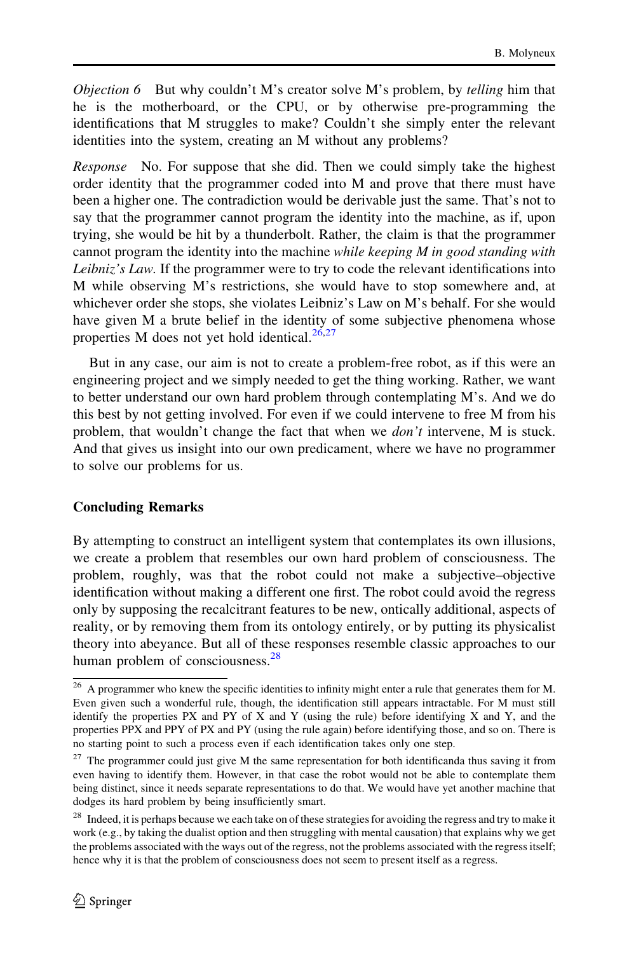*Objection* 6 But why couldn't M's creator solve M's problem, by *telling* him that he is the motherboard, or the CPU, or by otherwise pre-programming the identifications that M struggles to make? Couldn't she simply enter the relevant identities into the system, creating an M without any problems?

Response No. For suppose that she did. Then we could simply take the highest order identity that the programmer coded into M and prove that there must have been a higher one. The contradiction would be derivable just the same. That's not to say that the programmer cannot program the identity into the machine, as if, upon trying, she would be hit by a thunderbolt. Rather, the claim is that the programmer cannot program the identity into the machine while keeping M in good standing with Leibniz's Law. If the programmer were to try to code the relevant identifications into M while observing M's restrictions, she would have to stop somewhere and, at whichever order she stops, she violates Leibniz's Law on M's behalf. For she would have given M a brute belief in the identity of some subjective phenomena whose properties M does not yet hold identical.<sup>26,27</sup>

But in any case, our aim is not to create a problem-free robot, as if this were an engineering project and we simply needed to get the thing working. Rather, we want to better understand our own hard problem through contemplating M's. And we do this best by not getting involved. For even if we could intervene to free M from his problem, that wouldn't change the fact that when we *don't* intervene, M is stuck. And that gives us insight into our own predicament, where we have no programmer to solve our problems for us.

# Concluding Remarks

By attempting to construct an intelligent system that contemplates its own illusions, we create a problem that resembles our own hard problem of consciousness. The problem, roughly, was that the robot could not make a subjective–objective identification without making a different one first. The robot could avoid the regress only by supposing the recalcitrant features to be new, ontically additional, aspects of reality, or by removing them from its ontology entirely, or by putting its physicalist theory into abeyance. But all of these responses resemble classic approaches to our human problem of consciousness.<sup>28</sup>

<sup>&</sup>lt;sup>26</sup> A programmer who knew the specific identities to infinity might enter a rule that generates them for M. Even given such a wonderful rule, though, the identification still appears intractable. For M must still identify the properties PX and PY of X and Y (using the rule) before identifying X and Y, and the properties PPX and PPY of PX and PY (using the rule again) before identifying those, and so on. There is no starting point to such a process even if each identification takes only one step.

 $27$  The programmer could just give M the same representation for both identificanda thus saving it from even having to identify them. However, in that case the robot would not be able to contemplate them being distinct, since it needs separate representations to do that. We would have yet another machine that dodges its hard problem by being insufficiently smart.

<sup>&</sup>lt;sup>28</sup> Indeed, it is perhaps because we each take on of these strategies for avoiding the regress and try to make it work (e.g., by taking the dualist option and then struggling with mental causation) that explains why we get the problems associated with the ways out of the regress, not the problems associated with the regress itself; hence why it is that the problem of consciousness does not seem to present itself as a regress.